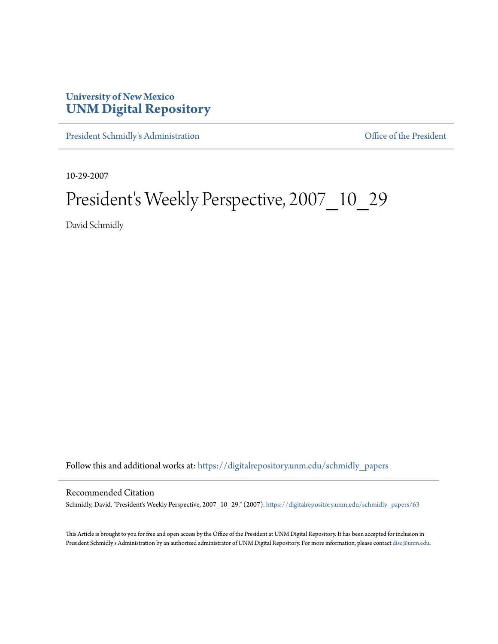## **University of New Mexico [UNM Digital Repository](https://digitalrepository.unm.edu?utm_source=digitalrepository.unm.edu%2Fschmidly_papers%2F63&utm_medium=PDF&utm_campaign=PDFCoverPages)**

[President Schmidly's Administration](https://digitalrepository.unm.edu/schmidly_papers?utm_source=digitalrepository.unm.edu%2Fschmidly_papers%2F63&utm_medium=PDF&utm_campaign=PDFCoverPages) [Office of the President](https://digitalrepository.unm.edu/ofc_president?utm_source=digitalrepository.unm.edu%2Fschmidly_papers%2F63&utm_medium=PDF&utm_campaign=PDFCoverPages)

10-29-2007

## President's Weekly Perspective, 2007\_10\_29

David Schmidly

Follow this and additional works at: [https://digitalrepository.unm.edu/schmidly\\_papers](https://digitalrepository.unm.edu/schmidly_papers?utm_source=digitalrepository.unm.edu%2Fschmidly_papers%2F63&utm_medium=PDF&utm_campaign=PDFCoverPages)

## Recommended Citation

Schmidly, David. "President's Weekly Perspective, 2007\_10\_29." (2007). [https://digitalrepository.unm.edu/schmidly\\_papers/63](https://digitalrepository.unm.edu/schmidly_papers/63?utm_source=digitalrepository.unm.edu%2Fschmidly_papers%2F63&utm_medium=PDF&utm_campaign=PDFCoverPages)

This Article is brought to you for free and open access by the Office of the President at UNM Digital Repository. It has been accepted for inclusion in President Schmidly's Administration by an authorized administrator of UNM Digital Repository. For more information, please contact [disc@unm.edu](mailto:disc@unm.edu).